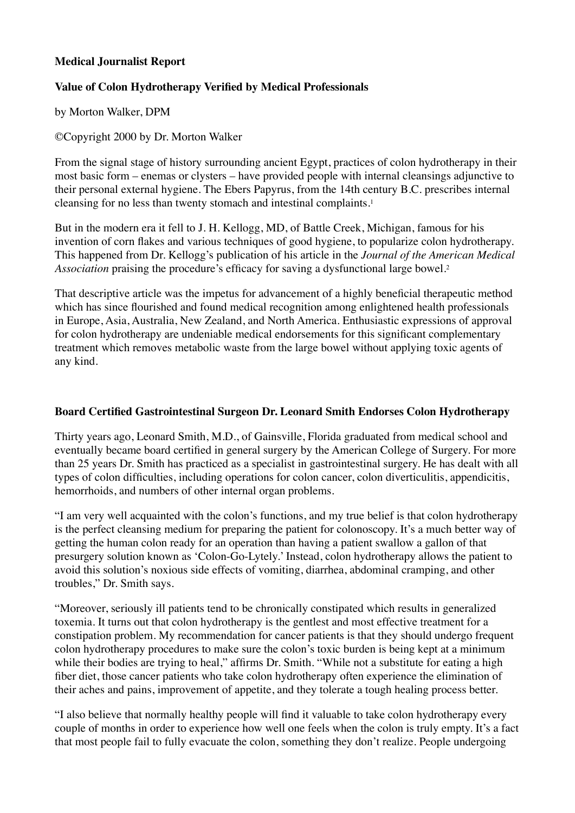#### **Medical Journalist Report**

# **Value of Colon Hydrotherapy Verified by Medical Professionals**

by Morton Walker, DPM

©Copyright 2000 by Dr. Morton Walker

From the signal stage of history surrounding ancient Egypt, practices of colon hydrotherapy in their most basic form – enemas or clysters – have provided people with internal cleansings adjunctive to their personal external hygiene. The Ebers Papyrus, from the 14th century B.C. prescribes internal cleansing for no less than twenty stomach and intestinal complaints.1

But in the modern era it fell to J. H. Kellogg, MD, of Battle Creek, Michigan, famous for his invention of corn flakes and various techniques of good hygiene, to popularize colon hydrotherapy. This happened from Dr. Kellogg's publication of his article in the *Journal of the American Medical Association* praising the procedure's efficacy for saving a dysfunctional large bowel.2

That descriptive article was the impetus for advancement of a highly beneficial therapeutic method which has since flourished and found medical recognition among enlightened health professionals in Europe, Asia, Australia, New Zealand, and North America. Enthusiastic expressions of approval for colon hydrotherapy are undeniable medical endorsements for this significant complementary treatment which removes metabolic waste from the large bowel without applying toxic agents of any kind.

## **Board Certified Gastrointestinal Surgeon Dr. Leonard Smith Endorses Colon Hydrotherapy**

Thirty years ago, Leonard Smith, M.D., of Gainsville, Florida graduated from medical school and eventually became board certified in general surgery by the American College of Surgery. For more than 25 years Dr. Smith has practiced as a specialist in gastrointestinal surgery. He has dealt with all types of colon difficulties, including operations for colon cancer, colon diverticulitis, appendicitis, hemorrhoids, and numbers of other internal organ problems.

"I am very well acquainted with the colon's functions, and my true belief is that colon hydrotherapy is the perfect cleansing medium for preparing the patient for colonoscopy. It's a much better way of getting the human colon ready for an operation than having a patient swallow a gallon of that presurgery solution known as 'Colon-Go-Lytely.' Instead, colon hydrotherapy allows the patient to avoid this solution's noxious side effects of vomiting, diarrhea, abdominal cramping, and other troubles," Dr. Smith says.

"Moreover, seriously ill patients tend to be chronically constipated which results in generalized toxemia. It turns out that colon hydrotherapy is the gentlest and most effective treatment for a constipation problem. My recommendation for cancer patients is that they should undergo frequent colon hydrotherapy procedures to make sure the colon's toxic burden is being kept at a minimum while their bodies are trying to heal," affirms Dr. Smith. "While not a substitute for eating a high fiber diet, those cancer patients who take colon hydrotherapy often experience the elimination of their aches and pains, improvement of appetite, and they tolerate a tough healing process better.

"I also believe that normally healthy people will find it valuable to take colon hydrotherapy every couple of months in order to experience how well one feels when the colon is truly empty. It's a fact that most people fail to fully evacuate the colon, something they don't realize. People undergoing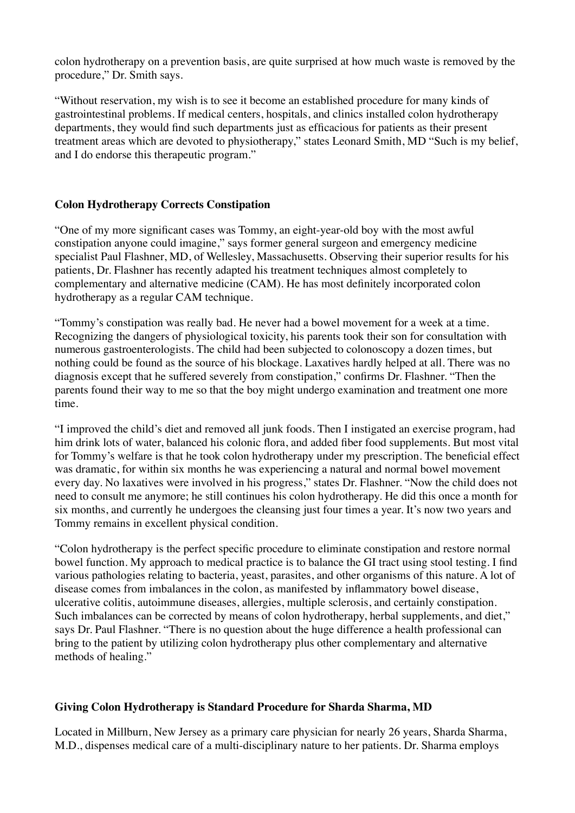colon hydrotherapy on a prevention basis, are quite surprised at how much waste is removed by the procedure," Dr. Smith says.

"Without reservation, my wish is to see it become an established procedure for many kinds of gastrointestinal problems. If medical centers, hospitals, and clinics installed colon hydrotherapy departments, they would find such departments just as efficacious for patients as their present treatment areas which are devoted to physiotherapy," states Leonard Smith, MD "Such is my belief, and I do endorse this therapeutic program."

## **Colon Hydrotherapy Corrects Constipation**

"One of my more significant cases was Tommy, an eight-year-old boy with the most awful constipation anyone could imagine," says former general surgeon and emergency medicine specialist Paul Flashner, MD, of Wellesley, Massachusetts. Observing their superior results for his patients, Dr. Flashner has recently adapted his treatment techniques almost completely to complementary and alternative medicine (CAM). He has most definitely incorporated colon hydrotherapy as a regular CAM technique.

"Tommy's constipation was really bad. He never had a bowel movement for a week at a time. Recognizing the dangers of physiological toxicity, his parents took their son for consultation with numerous gastroenterologists. The child had been subjected to colonoscopy a dozen times, but nothing could be found as the source of his blockage. Laxatives hardly helped at all. There was no diagnosis except that he suffered severely from constipation," confirms Dr. Flashner. "Then the parents found their way to me so that the boy might undergo examination and treatment one more time.

"I improved the child's diet and removed all junk foods. Then I instigated an exercise program, had him drink lots of water, balanced his colonic flora, and added fiber food supplements. But most vital for Tommy's welfare is that he took colon hydrotherapy under my prescription. The beneficial effect was dramatic, for within six months he was experiencing a natural and normal bowel movement every day. No laxatives were involved in his progress," states Dr. Flashner. "Now the child does not need to consult me anymore; he still continues his colon hydrotherapy. He did this once a month for six months, and currently he undergoes the cleansing just four times a year. It's now two years and Tommy remains in excellent physical condition.

"Colon hydrotherapy is the perfect specific procedure to eliminate constipation and restore normal bowel function. My approach to medical practice is to balance the GI tract using stool testing. I find various pathologies relating to bacteria, yeast, parasites, and other organisms of this nature. A lot of disease comes from imbalances in the colon, as manifested by inflammatory bowel disease, ulcerative colitis, autoimmune diseases, allergies, multiple sclerosis, and certainly constipation. Such imbalances can be corrected by means of colon hydrotherapy, herbal supplements, and diet," says Dr. Paul Flashner. "There is no question about the huge difference a health professional can bring to the patient by utilizing colon hydrotherapy plus other complementary and alternative methods of healing."

## **Giving Colon Hydrotherapy is Standard Procedure for Sharda Sharma, MD**

Located in Millburn, New Jersey as a primary care physician for nearly 26 years, Sharda Sharma, M.D., dispenses medical care of a multi-disciplinary nature to her patients. Dr. Sharma employs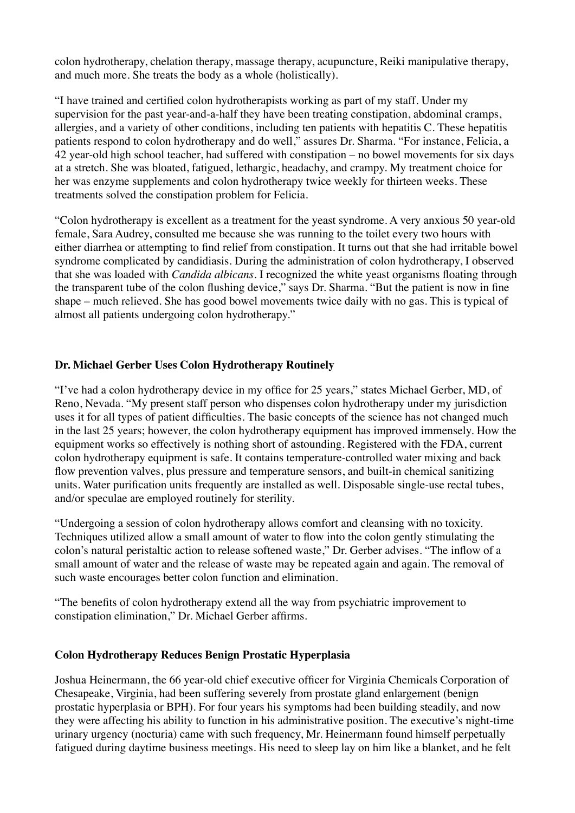colon hydrotherapy, chelation therapy, massage therapy, acupuncture, Reiki manipulative therapy, and much more. She treats the body as a whole (holistically).

"I have trained and certified colon hydrotherapists working as part of my staff. Under my supervision for the past year-and-a-half they have been treating constipation, abdominal cramps, allergies, and a variety of other conditions, including ten patients with hepatitis C. These hepatitis patients respond to colon hydrotherapy and do well," assures Dr. Sharma. "For instance, Felicia, a 42 year-old high school teacher, had suffered with constipation – no bowel movements for six days at a stretch. She was bloated, fatigued, lethargic, headachy, and crampy. My treatment choice for her was enzyme supplements and colon hydrotherapy twice weekly for thirteen weeks. These treatments solved the constipation problem for Felicia.

"Colon hydrotherapy is excellent as a treatment for the yeast syndrome. A very anxious 50 year-old female, Sara Audrey, consulted me because she was running to the toilet every two hours with either diarrhea or attempting to find relief from constipation. It turns out that she had irritable bowel syndrome complicated by candidiasis. During the administration of colon hydrotherapy, I observed that she was loaded with *Candida albicans.* I recognized the white yeast organisms floating through the transparent tube of the colon flushing device," says Dr. Sharma. "But the patient is now in fine shape – much relieved. She has good bowel movements twice daily with no gas. This is typical of almost all patients undergoing colon hydrotherapy."

## **Dr. Michael Gerber Uses Colon Hydrotherapy Routinely**

"I've had a colon hydrotherapy device in my office for 25 years," states Michael Gerber, MD, of Reno, Nevada. "My present staff person who dispenses colon hydrotherapy under my jurisdiction uses it for all types of patient difficulties. The basic concepts of the science has not changed much in the last 25 years; however, the colon hydrotherapy equipment has improved immensely. How the equipment works so effectively is nothing short of astounding. Registered with the FDA, current colon hydrotherapy equipment is safe. It contains temperature-controlled water mixing and back flow prevention valves, plus pressure and temperature sensors, and built-in chemical sanitizing units. Water purification units frequently are installed as well. Disposable single-use rectal tubes, and/or speculae are employed routinely for sterility.

"Undergoing a session of colon hydrotherapy allows comfort and cleansing with no toxicity. Techniques utilized allow a small amount of water to flow into the colon gently stimulating the colon's natural peristaltic action to release softened waste," Dr. Gerber advises. "The inflow of a small amount of water and the release of waste may be repeated again and again. The removal of such waste encourages better colon function and elimination.

"The benefits of colon hydrotherapy extend all the way from psychiatric improvement to constipation elimination," Dr. Michael Gerber affirms.

## **Colon Hydrotherapy Reduces Benign Prostatic Hyperplasia**

Joshua Heinermann, the 66 year-old chief executive officer for Virginia Chemicals Corporation of Chesapeake, Virginia, had been suffering severely from prostate gland enlargement (benign prostatic hyperplasia or BPH). For four years his symptoms had been building steadily, and now they were affecting his ability to function in his administrative position. The executive's night-time urinary urgency (nocturia) came with such frequency, Mr. Heinermann found himself perpetually fatigued during daytime business meetings. His need to sleep lay on him like a blanket, and he felt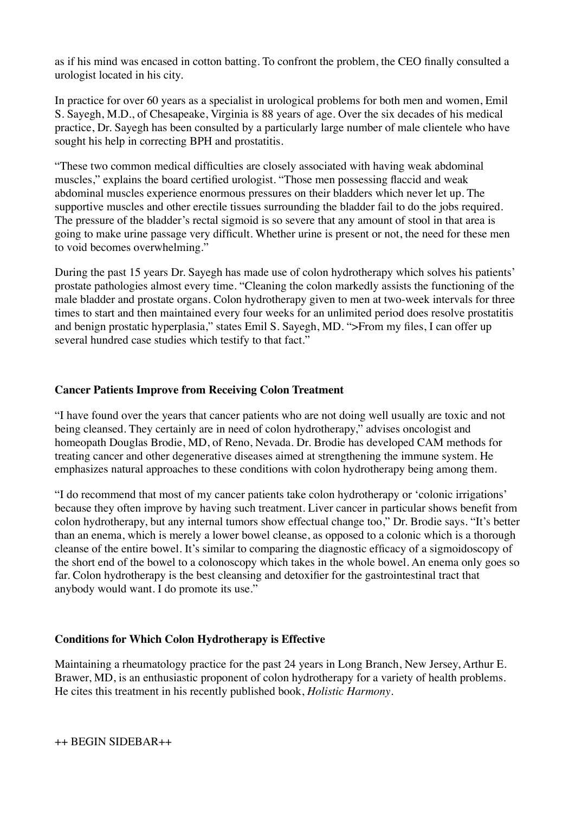as if his mind was encased in cotton batting. To confront the problem, the CEO finally consulted a urologist located in his city.

In practice for over 60 years as a specialist in urological problems for both men and women, Emil S. Sayegh, M.D., of Chesapeake, Virginia is 88 years of age. Over the six decades of his medical practice, Dr. Sayegh has been consulted by a particularly large number of male clientele who have sought his help in correcting BPH and prostatitis.

"These two common medical difficulties are closely associated with having weak abdominal muscles," explains the board certified urologist. "Those men possessing flaccid and weak abdominal muscles experience enormous pressures on their bladders which never let up. The supportive muscles and other erectile tissues surrounding the bladder fail to do the jobs required. The pressure of the bladder's rectal sigmoid is so severe that any amount of stool in that area is going to make urine passage very difficult. Whether urine is present or not, the need for these men to void becomes overwhelming."

During the past 15 years Dr. Sayegh has made use of colon hydrotherapy which solves his patients' prostate pathologies almost every time. "Cleaning the colon markedly assists the functioning of the male bladder and prostate organs. Colon hydrotherapy given to men at two-week intervals for three times to start and then maintained every four weeks for an unlimited period does resolve prostatitis and benign prostatic hyperplasia," states Emil S. Sayegh, MD. ">From my files, I can offer up several hundred case studies which testify to that fact."

## **Cancer Patients Improve from Receiving Colon Treatment**

"I have found over the years that cancer patients who are not doing well usually are toxic and not being cleansed. They certainly are in need of colon hydrotherapy," advises oncologist and homeopath Douglas Brodie, MD, of Reno, Nevada. Dr. Brodie has developed CAM methods for treating cancer and other degenerative diseases aimed at strengthening the immune system. He emphasizes natural approaches to these conditions with colon hydrotherapy being among them.

"I do recommend that most of my cancer patients take colon hydrotherapy or 'colonic irrigations' because they often improve by having such treatment. Liver cancer in particular shows benefit from colon hydrotherapy, but any internal tumors show effectual change too," Dr. Brodie says. "It's better than an enema, which is merely a lower bowel cleanse, as opposed to a colonic which is a thorough cleanse of the entire bowel. It's similar to comparing the diagnostic efficacy of a sigmoidoscopy of the short end of the bowel to a colonoscopy which takes in the whole bowel. An enema only goes so far. Colon hydrotherapy is the best cleansing and detoxifier for the gastrointestinal tract that anybody would want. I do promote its use."

#### **Conditions for Which Colon Hydrotherapy is Effective**

Maintaining a rheumatology practice for the past 24 years in Long Branch, New Jersey, Arthur E. Brawer, MD, is an enthusiastic proponent of colon hydrotherapy for a variety of health problems. He cites this treatment in his recently published book, *Holistic Harmony*.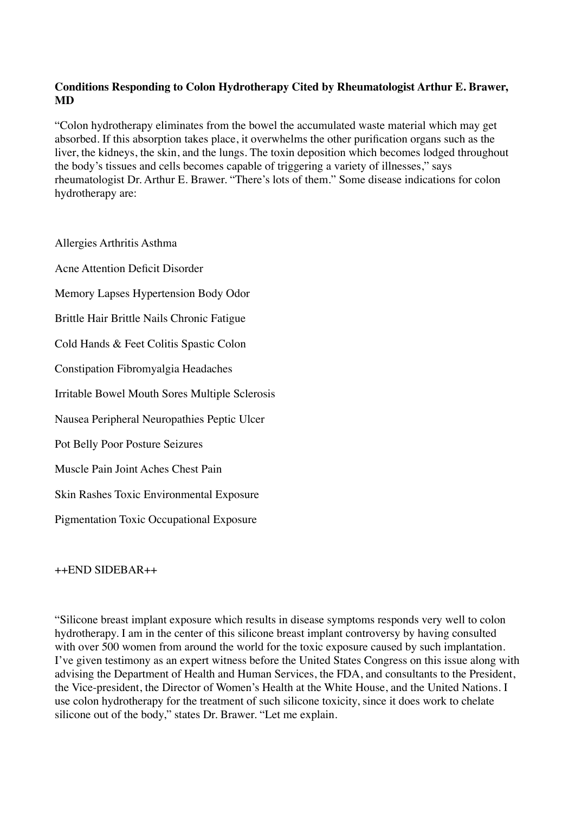# **Conditions Responding to Colon Hydrotherapy Cited by Rheumatologist Arthur E. Brawer, MD**

"Colon hydrotherapy eliminates from the bowel the accumulated waste material which may get absorbed. If this absorption takes place, it overwhelms the other purification organs such as the liver, the kidneys, the skin, and the lungs. The toxin deposition which becomes lodged throughout the body's tissues and cells becomes capable of triggering a variety of illnesses," says rheumatologist Dr. Arthur E. Brawer. "There's lots of them." Some disease indications for colon hydrotherapy are:

Allergies Arthritis Asthma Acne Attention Deficit Disorder Memory Lapses Hypertension Body Odor Brittle Hair Brittle Nails Chronic Fatigue Cold Hands & Feet Colitis Spastic Colon Constipation Fibromyalgia Headaches Irritable Bowel Mouth Sores Multiple Sclerosis Nausea Peripheral Neuropathies Peptic Ulcer Pot Belly Poor Posture Seizures Muscle Pain Joint Aches Chest Pain Skin Rashes Toxic Environmental Exposure Pigmentation Toxic Occupational Exposure

 $+$  $+$  $FND$  SIDEBAR $+$  $+$ 

"Silicone breast implant exposure which results in disease symptoms responds very well to colon hydrotherapy. I am in the center of this silicone breast implant controversy by having consulted with over 500 women from around the world for the toxic exposure caused by such implantation. I've given testimony as an expert witness before the United States Congress on this issue along with advising the Department of Health and Human Services, the FDA, and consultants to the President, the Vice-president, the Director of Women's Health at the White House, and the United Nations. I use colon hydrotherapy for the treatment of such silicone toxicity, since it does work to chelate silicone out of the body," states Dr. Brawer. "Let me explain.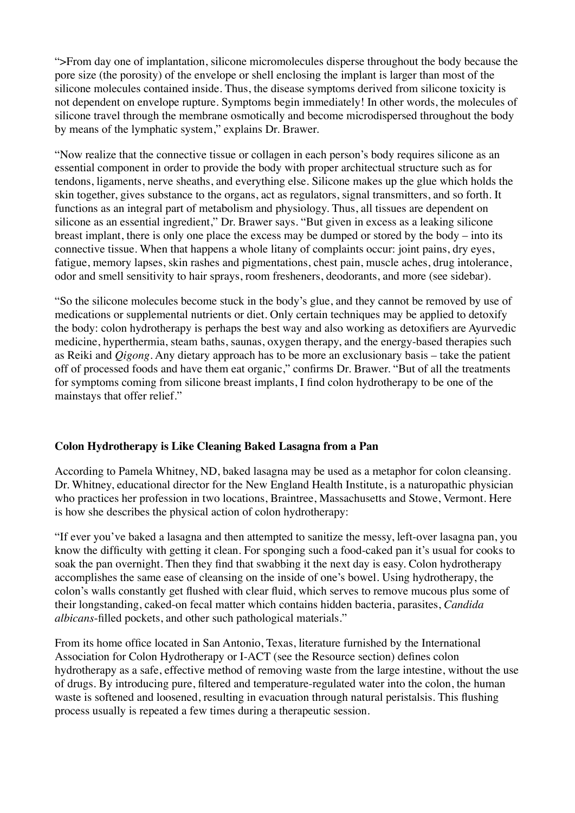">From day one of implantation, silicone micromolecules disperse throughout the body because the pore size (the porosity) of the envelope or shell enclosing the implant is larger than most of the silicone molecules contained inside. Thus, the disease symptoms derived from silicone toxicity is not dependent on envelope rupture. Symptoms begin immediately! In other words, the molecules of silicone travel through the membrane osmotically and become microdispersed throughout the body by means of the lymphatic system," explains Dr. Brawer.

"Now realize that the connective tissue or collagen in each person's body requires silicone as an essential component in order to provide the body with proper architectual structure such as for tendons, ligaments, nerve sheaths, and everything else. Silicone makes up the glue which holds the skin together, gives substance to the organs, act as regulators, signal transmitters, and so forth. It functions as an integral part of metabolism and physiology. Thus, all tissues are dependent on silicone as an essential ingredient," Dr. Brawer says. "But given in excess as a leaking silicone breast implant, there is only one place the excess may be dumped or stored by the body – into its connective tissue. When that happens a whole litany of complaints occur: joint pains, dry eyes, fatigue, memory lapses, skin rashes and pigmentations, chest pain, muscle aches, drug intolerance, odor and smell sensitivity to hair sprays, room fresheners, deodorants, and more (see sidebar).

"So the silicone molecules become stuck in the body's glue, and they cannot be removed by use of medications or supplemental nutrients or diet. Only certain techniques may be applied to detoxify the body: colon hydrotherapy is perhaps the best way and also working as detoxifiers are Ayurvedic medicine, hyperthermia, steam baths, saunas, oxygen therapy, and the energy-based therapies such as Reiki and *Qigong*. Any dietary approach has to be more an exclusionary basis – take the patient off of processed foods and have them eat organic," confirms Dr. Brawer. "But of all the treatments for symptoms coming from silicone breast implants, I find colon hydrotherapy to be one of the mainstays that offer relief."

## **Colon Hydrotherapy is Like Cleaning Baked Lasagna from a Pan**

According to Pamela Whitney, ND, baked lasagna may be used as a metaphor for colon cleansing. Dr. Whitney, educational director for the New England Health Institute, is a naturopathic physician who practices her profession in two locations, Braintree, Massachusetts and Stowe, Vermont. Here is how she describes the physical action of colon hydrotherapy:

"If ever you've baked a lasagna and then attempted to sanitize the messy, left-over lasagna pan, you know the difficulty with getting it clean. For sponging such a food-caked pan it's usual for cooks to soak the pan overnight. Then they find that swabbing it the next day is easy. Colon hydrotherapy accomplishes the same ease of cleansing on the inside of one's bowel. Using hydrotherapy, the colon's walls constantly get flushed with clear fluid, which serves to remove mucous plus some of their longstanding, caked-on fecal matter which contains hidden bacteria, parasites, *Candida albicans*-filled pockets, and other such pathological materials."

From its home office located in San Antonio, Texas, literature furnished by the International Association for Colon Hydrotherapy or I-ACT (see the Resource section) defines colon hydrotherapy as a safe, effective method of removing waste from the large intestine, without the use of drugs. By introducing pure, filtered and temperature-regulated water into the colon, the human waste is softened and loosened, resulting in evacuation through natural peristalsis. This flushing process usually is repeated a few times during a therapeutic session.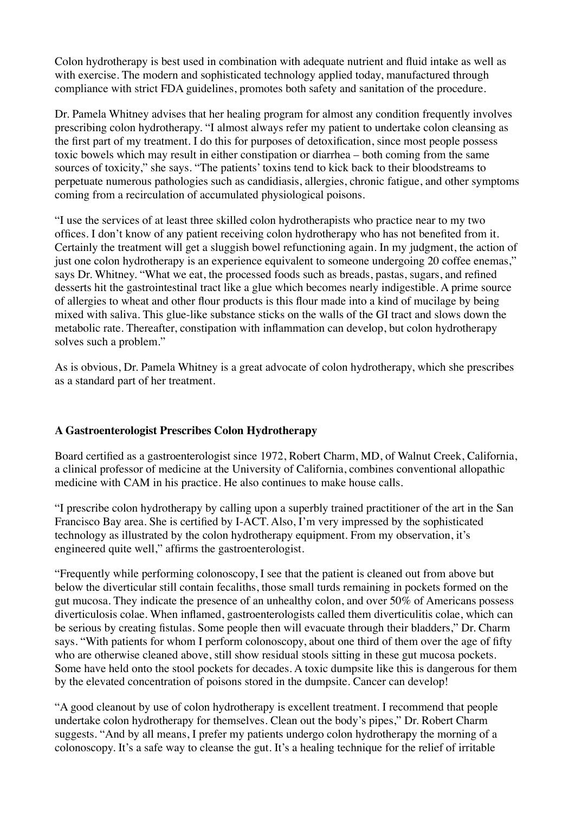Colon hydrotherapy is best used in combination with adequate nutrient and fluid intake as well as with exercise. The modern and sophisticated technology applied today, manufactured through compliance with strict FDA guidelines, promotes both safety and sanitation of the procedure.

Dr. Pamela Whitney advises that her healing program for almost any condition frequently involves prescribing colon hydrotherapy. "I almost always refer my patient to undertake colon cleansing as the first part of my treatment. I do this for purposes of detoxification, since most people possess toxic bowels which may result in either constipation or diarrhea – both coming from the same sources of toxicity," she says. "The patients' toxins tend to kick back to their bloodstreams to perpetuate numerous pathologies such as candidiasis, allergies, chronic fatigue, and other symptoms coming from a recirculation of accumulated physiological poisons.

"I use the services of at least three skilled colon hydrotherapists who practice near to my two offices. I don't know of any patient receiving colon hydrotherapy who has not benefited from it. Certainly the treatment will get a sluggish bowel refunctioning again. In my judgment, the action of just one colon hydrotherapy is an experience equivalent to someone undergoing 20 coffee enemas," says Dr. Whitney. "What we eat, the processed foods such as breads, pastas, sugars, and refined desserts hit the gastrointestinal tract like a glue which becomes nearly indigestible. A prime source of allergies to wheat and other flour products is this flour made into a kind of mucilage by being mixed with saliva. This glue-like substance sticks on the walls of the GI tract and slows down the metabolic rate. Thereafter, constipation with inflammation can develop, but colon hydrotherapy solves such a problem."

As is obvious, Dr. Pamela Whitney is a great advocate of colon hydrotherapy, which she prescribes as a standard part of her treatment.

## **A Gastroenterologist Prescribes Colon Hydrotherapy**

Board certified as a gastroenterologist since 1972, Robert Charm, MD, of Walnut Creek, California, a clinical professor of medicine at the University of California, combines conventional allopathic medicine with CAM in his practice. He also continues to make house calls.

"I prescribe colon hydrotherapy by calling upon a superbly trained practitioner of the art in the San Francisco Bay area. She is certified by I-ACT. Also, I'm very impressed by the sophisticated technology as illustrated by the colon hydrotherapy equipment. From my observation, it's engineered quite well," affirms the gastroenterologist.

"Frequently while performing colonoscopy, I see that the patient is cleaned out from above but below the diverticular still contain fecaliths, those small turds remaining in pockets formed on the gut mucosa. They indicate the presence of an unhealthy colon, and over 50% of Americans possess diverticulosis colae. When inflamed, gastroenterologists called them diverticulitis colae, which can be serious by creating fistulas. Some people then will evacuate through their bladders," Dr. Charm says. "With patients for whom I perform colonoscopy, about one third of them over the age of fifty who are otherwise cleaned above, still show residual stools sitting in these gut mucosa pockets. Some have held onto the stool pockets for decades. A toxic dumpsite like this is dangerous for them by the elevated concentration of poisons stored in the dumpsite. Cancer can develop!

"A good cleanout by use of colon hydrotherapy is excellent treatment. I recommend that people undertake colon hydrotherapy for themselves. Clean out the body's pipes," Dr. Robert Charm suggests. "And by all means, I prefer my patients undergo colon hydrotherapy the morning of a colonoscopy. It's a safe way to cleanse the gut. It's a healing technique for the relief of irritable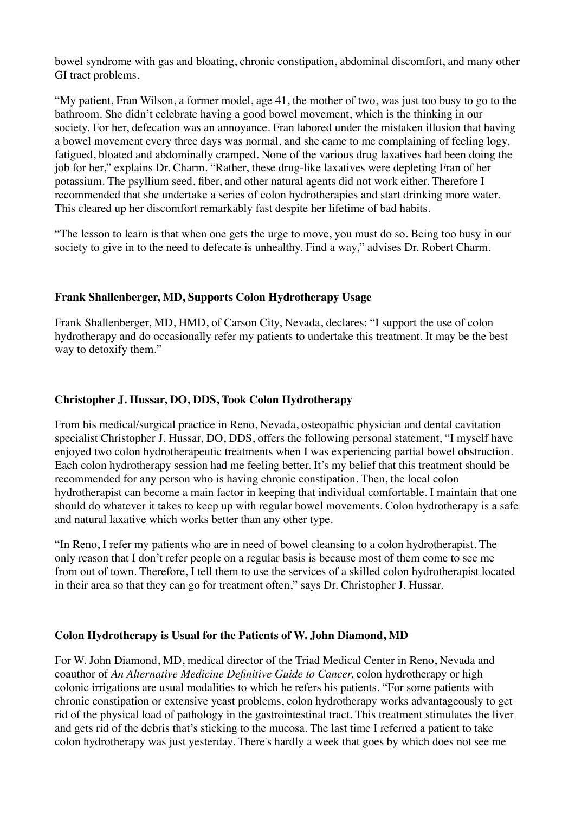bowel syndrome with gas and bloating, chronic constipation, abdominal discomfort, and many other GI tract problems.

"My patient, Fran Wilson, a former model, age 41, the mother of two, was just too busy to go to the bathroom. She didn't celebrate having a good bowel movement, which is the thinking in our society. For her, defecation was an annoyance. Fran labored under the mistaken illusion that having a bowel movement every three days was normal, and she came to me complaining of feeling logy, fatigued, bloated and abdominally cramped. None of the various drug laxatives had been doing the job for her," explains Dr. Charm. "Rather, these drug-like laxatives were depleting Fran of her potassium. The psyllium seed, fiber, and other natural agents did not work either. Therefore I recommended that she undertake a series of colon hydrotherapies and start drinking more water. This cleared up her discomfort remarkably fast despite her lifetime of bad habits.

"The lesson to learn is that when one gets the urge to move, you must do so. Being too busy in our society to give in to the need to defecate is unhealthy. Find a way," advises Dr. Robert Charm.

#### **Frank Shallenberger, MD, Supports Colon Hydrotherapy Usage**

Frank Shallenberger, MD, HMD, of Carson City, Nevada, declares: "I support the use of colon hydrotherapy and do occasionally refer my patients to undertake this treatment. It may be the best way to detoxify them."

#### **Christopher J. Hussar, DO, DDS, Took Colon Hydrotherapy**

From his medical/surgical practice in Reno, Nevada, osteopathic physician and dental cavitation specialist Christopher J. Hussar, DO, DDS, offers the following personal statement, "I myself have enjoyed two colon hydrotherapeutic treatments when I was experiencing partial bowel obstruction. Each colon hydrotherapy session had me feeling better. It's my belief that this treatment should be recommended for any person who is having chronic constipation. Then, the local colon hydrotherapist can become a main factor in keeping that individual comfortable. I maintain that one should do whatever it takes to keep up with regular bowel movements. Colon hydrotherapy is a safe and natural laxative which works better than any other type.

"In Reno, I refer my patients who are in need of bowel cleansing to a colon hydrotherapist. The only reason that I don't refer people on a regular basis is because most of them come to see me from out of town. Therefore, I tell them to use the services of a skilled colon hydrotherapist located in their area so that they can go for treatment often," says Dr. Christopher J. Hussar.

#### **Colon Hydrotherapy is Usual for the Patients of W. John Diamond, MD**

For W. John Diamond, MD, medical director of the Triad Medical Center in Reno, Nevada and coauthor of *An Alternative Medicine Definitive Guide to Cancer,* colon hydrotherapy or high colonic irrigations are usual modalities to which he refers his patients. "For some patients with chronic constipation or extensive yeast problems, colon hydrotherapy works advantageously to get rid of the physical load of pathology in the gastrointestinal tract. This treatment stimulates the liver and gets rid of the debris that's sticking to the mucosa. The last time I referred a patient to take colon hydrotherapy was just yesterday. There's hardly a week that goes by which does not see me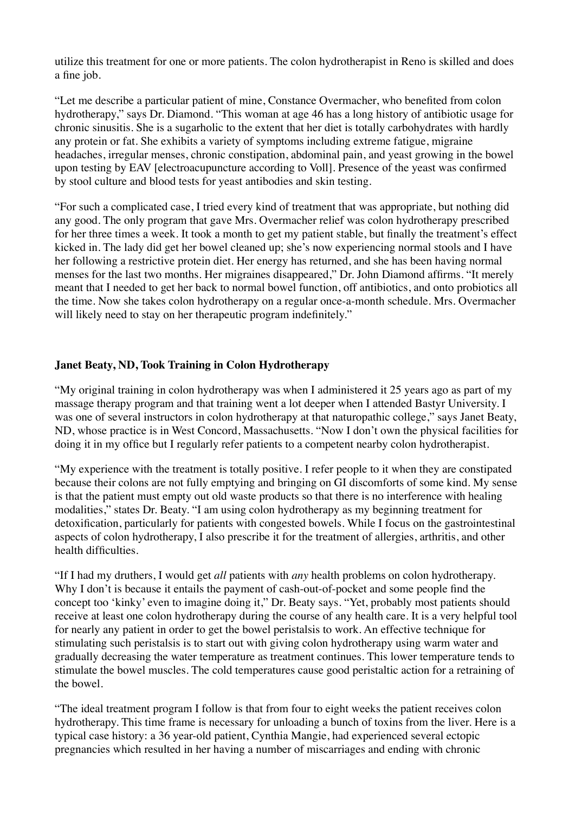utilize this treatment for one or more patients. The colon hydrotherapist in Reno is skilled and does a fine job.

"Let me describe a particular patient of mine, Constance Overmacher, who benefited from colon hydrotherapy," says Dr. Diamond. "This woman at age 46 has a long history of antibiotic usage for chronic sinusitis. She is a sugarholic to the extent that her diet is totally carbohydrates with hardly any protein or fat. She exhibits a variety of symptoms including extreme fatigue, migraine headaches, irregular menses, chronic constipation, abdominal pain, and yeast growing in the bowel upon testing by EAV [electroacupuncture according to Voll]. Presence of the yeast was confirmed by stool culture and blood tests for yeast antibodies and skin testing.

"For such a complicated case, I tried every kind of treatment that was appropriate, but nothing did any good. The only program that gave Mrs. Overmacher relief was colon hydrotherapy prescribed for her three times a week. It took a month to get my patient stable, but finally the treatment's effect kicked in. The lady did get her bowel cleaned up; she's now experiencing normal stools and I have her following a restrictive protein diet. Her energy has returned, and she has been having normal menses for the last two months. Her migraines disappeared," Dr. John Diamond affirms. "It merely meant that I needed to get her back to normal bowel function, off antibiotics, and onto probiotics all the time. Now she takes colon hydrotherapy on a regular once-a-month schedule. Mrs. Overmacher will likely need to stay on her therapeutic program indefinitely."

## **Janet Beaty, ND, Took Training in Colon Hydrotherapy**

"My original training in colon hydrotherapy was when I administered it 25 years ago as part of my massage therapy program and that training went a lot deeper when I attended Bastyr University. I was one of several instructors in colon hydrotherapy at that naturopathic college," says Janet Beaty, ND, whose practice is in West Concord, Massachusetts. "Now I don't own the physical facilities for doing it in my office but I regularly refer patients to a competent nearby colon hydrotherapist.

"My experience with the treatment is totally positive. I refer people to it when they are constipated because their colons are not fully emptying and bringing on GI discomforts of some kind. My sense is that the patient must empty out old waste products so that there is no interference with healing modalities," states Dr. Beaty. "I am using colon hydrotherapy as my beginning treatment for detoxification, particularly for patients with congested bowels. While I focus on the gastrointestinal aspects of colon hydrotherapy, I also prescribe it for the treatment of allergies, arthritis, and other health difficulties.

"If I had my druthers, I would get *all* patients with *any* health problems on colon hydrotherapy. Why I don't is because it entails the payment of cash-out-of-pocket and some people find the concept too 'kinky' even to imagine doing it," Dr. Beaty says. "Yet, probably most patients should receive at least one colon hydrotherapy during the course of any health care. It is a very helpful tool for nearly any patient in order to get the bowel peristalsis to work. An effective technique for stimulating such peristalsis is to start out with giving colon hydrotherapy using warm water and gradually decreasing the water temperature as treatment continues. This lower temperature tends to stimulate the bowel muscles. The cold temperatures cause good peristaltic action for a retraining of the bowel.

"The ideal treatment program I follow is that from four to eight weeks the patient receives colon hydrotherapy. This time frame is necessary for unloading a bunch of toxins from the liver. Here is a typical case history: a 36 year-old patient, Cynthia Mangie, had experienced several ectopic pregnancies which resulted in her having a number of miscarriages and ending with chronic